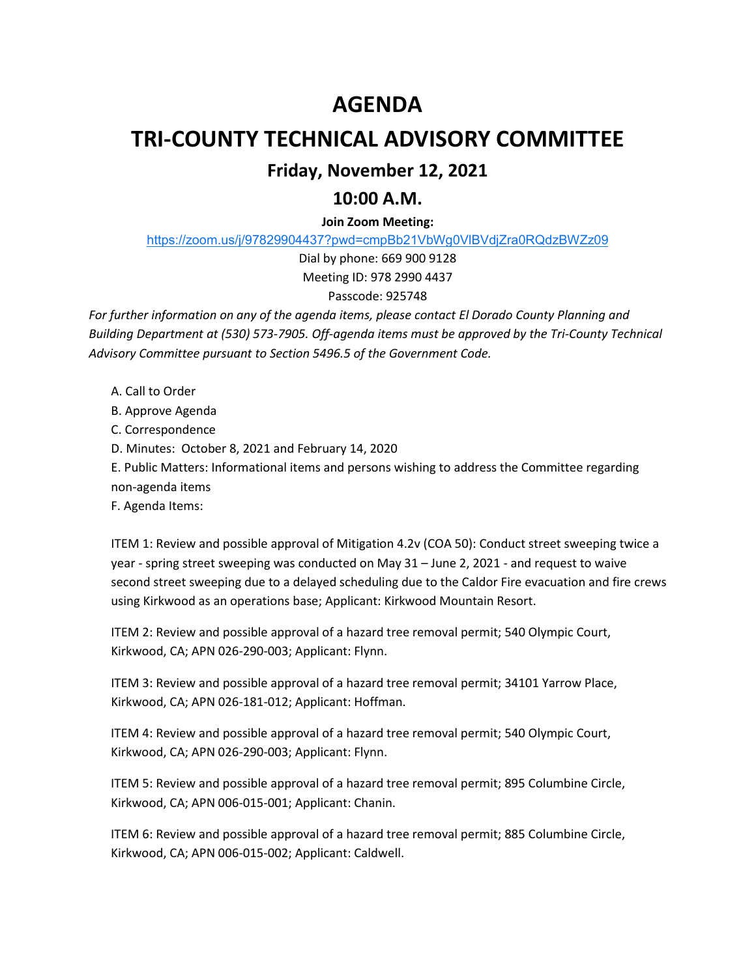# **AGENDA**

## **TRI-COUNTY TECHNICAL ADVISORY COMMITTEE**

## **Friday, November 12, 2021**

### **10:00 A.M.**

### **Join Zoom Meeting:**

https://zoom.us/j/97829904437?pwd=cmpBb21VbWg0VlBVdjZra0RQdzBWZz09

Dial by phone: 669 900 9128 Meeting ID: 978 2990 4437

#### Passcode: 925748

*For further information on any of the agenda items, please contact El Dorado County Planning and Building Department at (530) 573-7905. Off-agenda items must be approved by the Tri-County Technical Advisory Committee pursuant to Section 5496.5 of the Government Code.* 

- A. Call to Order
- B. Approve Agenda

C. Correspondence

D. Minutes: October 8, 2021 and February 14, 2020

E. Public Matters: Informational items and persons wishing to address the Committee regarding

non-agenda items

F. Agenda Items:

ITEM 1: Review and possible approval of Mitigation 4.2v (COA 50): Conduct street sweeping twice a year - spring street sweeping was conducted on May 31 – June 2, 2021 - and request to waive second street sweeping due to a delayed scheduling due to the Caldor Fire evacuation and fire crews using Kirkwood as an operations base; Applicant: Kirkwood Mountain Resort.

ITEM 2: Review and possible approval of a hazard tree removal permit; 540 Olympic Court, Kirkwood, CA; APN 026-290-003; Applicant: Flynn.

ITEM 3: Review and possible approval of a hazard tree removal permit; 34101 Yarrow Place, Kirkwood, CA; APN 026-181-012; Applicant: Hoffman.

ITEM 4: Review and possible approval of a hazard tree removal permit; 540 Olympic Court, Kirkwood, CA; APN 026-290-003; Applicant: Flynn.

ITEM 5: Review and possible approval of a hazard tree removal permit; 895 Columbine Circle, Kirkwood, CA; APN 006-015-001; Applicant: Chanin.

ITEM 6: Review and possible approval of a hazard tree removal permit; 885 Columbine Circle, Kirkwood, CA; APN 006-015-002; Applicant: Caldwell.